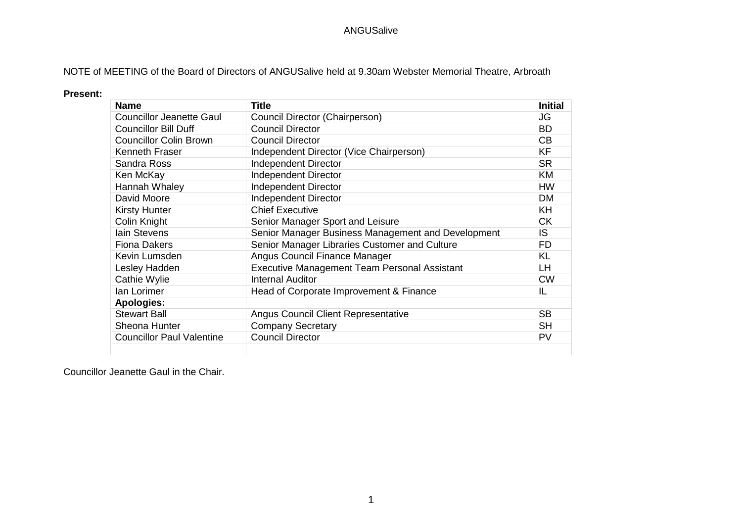NOTE of MEETING of the Board of Directors of ANGUSalive held at 9.30am Webster Memorial Theatre, Arbroath

### **Present:**

| <b>Name</b>                      | <b>Title</b>                                        | <b>Initial</b> |
|----------------------------------|-----------------------------------------------------|----------------|
| <b>Councillor Jeanette Gaul</b>  | Council Director (Chairperson)                      | JG             |
| <b>Councillor Bill Duff</b>      | <b>Council Director</b>                             | <b>BD</b>      |
| <b>Councillor Colin Brown</b>    | <b>Council Director</b>                             | CB             |
| Kenneth Fraser                   | Independent Director (Vice Chairperson)             | <b>KF</b>      |
| Sandra Ross                      | <b>Independent Director</b>                         | <b>SR</b>      |
| Ken McKay                        | <b>Independent Director</b>                         | <b>KM</b>      |
| Hannah Whaley                    | <b>Independent Director</b>                         | <b>HW</b>      |
| David Moore                      | <b>Independent Director</b>                         | <b>DM</b>      |
| <b>Kirsty Hunter</b>             | <b>Chief Executive</b>                              | KH             |
| Colin Knight                     | Senior Manager Sport and Leisure                    | <b>CK</b>      |
| lain Stevens                     | Senior Manager Business Management and Development  | <b>IS</b>      |
| <b>Fiona Dakers</b>              | Senior Manager Libraries Customer and Culture       | FD             |
| Kevin Lumsden                    | Angus Council Finance Manager                       | <b>KL</b>      |
| Lesley Hadden                    | <b>Executive Management Team Personal Assistant</b> | LH.            |
| Cathie Wylie                     | <b>Internal Auditor</b>                             | <b>CW</b>      |
| lan Lorimer                      | Head of Corporate Improvement & Finance             | IL             |
| <b>Apologies:</b>                |                                                     |                |
| <b>Stewart Ball</b>              | <b>Angus Council Client Representative</b>          | <b>SB</b>      |
| Sheona Hunter                    | <b>Company Secretary</b>                            | <b>SH</b>      |
| <b>Councillor Paul Valentine</b> | <b>Council Director</b>                             | PV             |
|                                  |                                                     |                |

Councillor Jeanette Gaul in the Chair.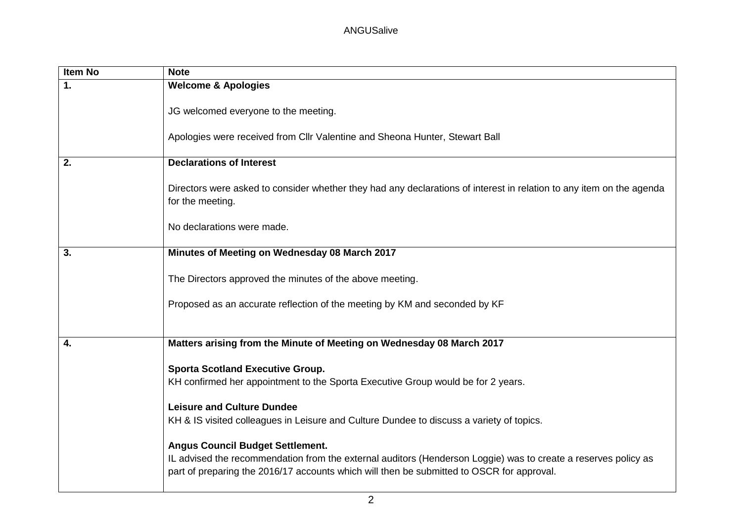| Item No        | <b>Note</b>                                                                                                                                                                                                                                            |
|----------------|--------------------------------------------------------------------------------------------------------------------------------------------------------------------------------------------------------------------------------------------------------|
| $\mathbf{1}$ . | <b>Welcome &amp; Apologies</b>                                                                                                                                                                                                                         |
|                | JG welcomed everyone to the meeting.                                                                                                                                                                                                                   |
|                | Apologies were received from Cllr Valentine and Sheona Hunter, Stewart Ball                                                                                                                                                                            |
| 2.             | <b>Declarations of Interest</b>                                                                                                                                                                                                                        |
|                | Directors were asked to consider whether they had any declarations of interest in relation to any item on the agenda<br>for the meeting.                                                                                                               |
|                | No declarations were made.                                                                                                                                                                                                                             |
| 3.             | Minutes of Meeting on Wednesday 08 March 2017                                                                                                                                                                                                          |
|                | The Directors approved the minutes of the above meeting.                                                                                                                                                                                               |
|                | Proposed as an accurate reflection of the meeting by KM and seconded by KF                                                                                                                                                                             |
|                |                                                                                                                                                                                                                                                        |
| 4.             | Matters arising from the Minute of Meeting on Wednesday 08 March 2017                                                                                                                                                                                  |
|                | <b>Sporta Scotland Executive Group.</b>                                                                                                                                                                                                                |
|                | KH confirmed her appointment to the Sporta Executive Group would be for 2 years.                                                                                                                                                                       |
|                | <b>Leisure and Culture Dundee</b><br>KH & IS visited colleagues in Leisure and Culture Dundee to discuss a variety of topics.                                                                                                                          |
|                | <b>Angus Council Budget Settlement.</b><br>IL advised the recommendation from the external auditors (Henderson Loggie) was to create a reserves policy as<br>part of preparing the 2016/17 accounts which will then be submitted to OSCR for approval. |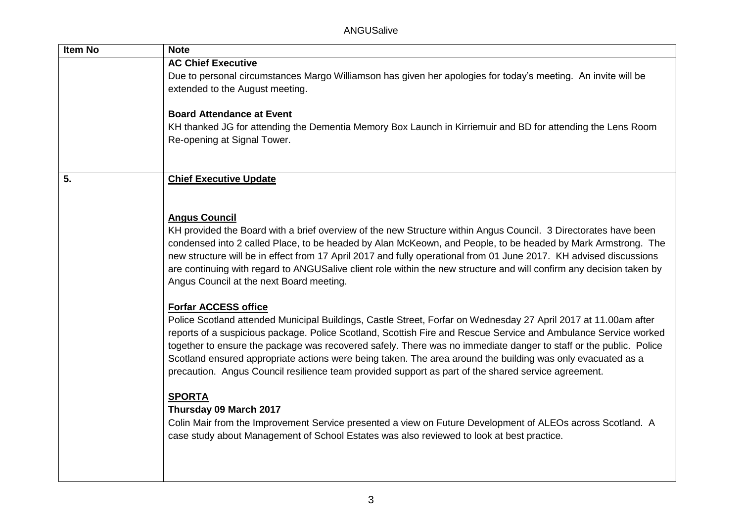| <b>Item No</b> | <b>Note</b>                                                                                                                                                                                                                                                                                                                                                                                                                                                                                                                                                                                                  |
|----------------|--------------------------------------------------------------------------------------------------------------------------------------------------------------------------------------------------------------------------------------------------------------------------------------------------------------------------------------------------------------------------------------------------------------------------------------------------------------------------------------------------------------------------------------------------------------------------------------------------------------|
|                | <b>AC Chief Executive</b><br>Due to personal circumstances Margo Williamson has given her apologies for today's meeting. An invite will be                                                                                                                                                                                                                                                                                                                                                                                                                                                                   |
|                | extended to the August meeting.                                                                                                                                                                                                                                                                                                                                                                                                                                                                                                                                                                              |
|                | <b>Board Attendance at Event</b>                                                                                                                                                                                                                                                                                                                                                                                                                                                                                                                                                                             |
|                | KH thanked JG for attending the Dementia Memory Box Launch in Kirriemuir and BD for attending the Lens Room<br>Re-opening at Signal Tower.                                                                                                                                                                                                                                                                                                                                                                                                                                                                   |
| 5.             | <b>Chief Executive Update</b>                                                                                                                                                                                                                                                                                                                                                                                                                                                                                                                                                                                |
|                | <b>Angus Council</b><br>KH provided the Board with a brief overview of the new Structure within Angus Council. 3 Directorates have been<br>condensed into 2 called Place, to be headed by Alan McKeown, and People, to be headed by Mark Armstrong. The<br>new structure will be in effect from 17 April 2017 and fully operational from 01 June 2017. KH advised discussions<br>are continuing with regard to ANGUSalive client role within the new structure and will confirm any decision taken by<br>Angus Council at the next Board meeting.                                                            |
|                | <b>Forfar ACCESS office</b><br>Police Scotland attended Municipal Buildings, Castle Street, Forfar on Wednesday 27 April 2017 at 11.00am after<br>reports of a suspicious package. Police Scotland, Scottish Fire and Rescue Service and Ambulance Service worked<br>together to ensure the package was recovered safely. There was no immediate danger to staff or the public. Police<br>Scotland ensured appropriate actions were being taken. The area around the building was only evacuated as a<br>precaution. Angus Council resilience team provided support as part of the shared service agreement. |
|                | <b>SPORTA</b><br>Thursday 09 March 2017<br>Colin Mair from the Improvement Service presented a view on Future Development of ALEOs across Scotland. A<br>case study about Management of School Estates was also reviewed to look at best practice.                                                                                                                                                                                                                                                                                                                                                           |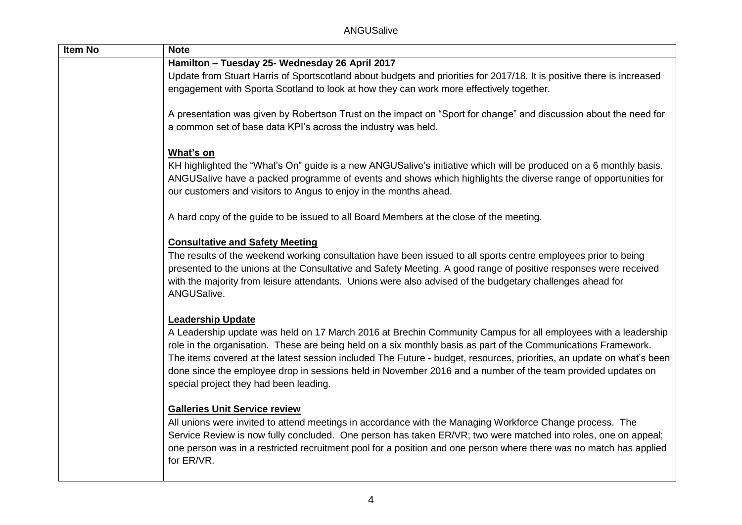| <b>Item No</b> | <b>Note</b>                                                                                                                                                                                                                                                                                                                                                                                                                                                                                                                                   |
|----------------|-----------------------------------------------------------------------------------------------------------------------------------------------------------------------------------------------------------------------------------------------------------------------------------------------------------------------------------------------------------------------------------------------------------------------------------------------------------------------------------------------------------------------------------------------|
|                | Hamilton - Tuesday 25- Wednesday 26 April 2017                                                                                                                                                                                                                                                                                                                                                                                                                                                                                                |
|                | Update from Stuart Harris of Sportscotland about budgets and priorities for 2017/18. It is positive there is increased                                                                                                                                                                                                                                                                                                                                                                                                                        |
|                | engagement with Sporta Scotland to look at how they can work more effectively together.                                                                                                                                                                                                                                                                                                                                                                                                                                                       |
|                | A presentation was given by Robertson Trust on the impact on "Sport for change" and discussion about the need for<br>a common set of base data KPI's across the industry was held.                                                                                                                                                                                                                                                                                                                                                            |
|                | What's on<br>KH highlighted the "What's On" guide is a new ANGUSalive's initiative which will be produced on a 6 monthly basis.<br>ANGUSalive have a packed programme of events and shows which highlights the diverse range of opportunities for<br>our customers and visitors to Angus to enjoy in the months ahead.                                                                                                                                                                                                                        |
|                | A hard copy of the guide to be issued to all Board Members at the close of the meeting.                                                                                                                                                                                                                                                                                                                                                                                                                                                       |
|                | <b>Consultative and Safety Meeting</b><br>The results of the weekend working consultation have been issued to all sports centre employees prior to being<br>presented to the unions at the Consultative and Safety Meeting. A good range of positive responses were received<br>with the majority from leisure attendants. Unions were also advised of the budgetary challenges ahead for<br>ANGUSalive.                                                                                                                                      |
|                | <b>Leadership Update</b><br>A Leadership update was held on 17 March 2016 at Brechin Community Campus for all employees with a leadership<br>role in the organisation. These are being held on a six monthly basis as part of the Communications Framework.<br>The items covered at the latest session included The Future - budget, resources, priorities, an update on what's been<br>done since the employee drop in sessions held in November 2016 and a number of the team provided updates on<br>special project they had been leading. |
|                | <b>Galleries Unit Service review</b><br>All unions were invited to attend meetings in accordance with the Managing Workforce Change process. The<br>Service Review is now fully concluded. One person has taken ER/VR; two were matched into roles, one on appeal;<br>one person was in a restricted recruitment pool for a position and one person where there was no match has applied<br>for ER/VR.                                                                                                                                        |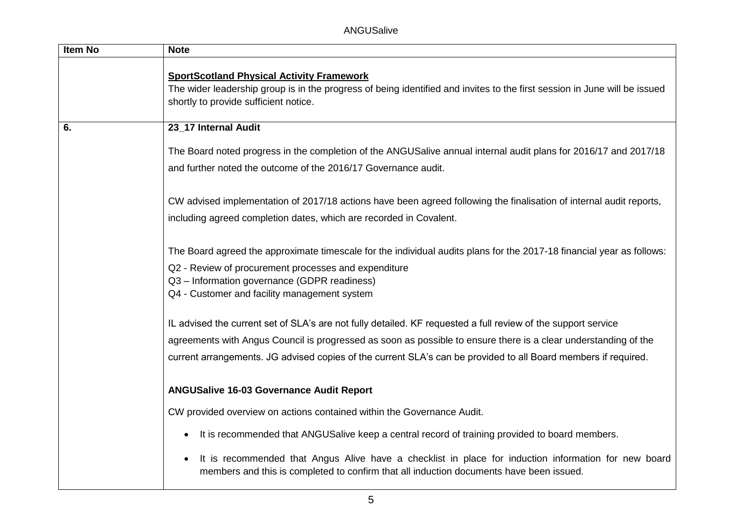ANGUSalive

| <b>Item No</b> | <b>Note</b>                                                                                                                                                                                                                                                                                                                                        |
|----------------|----------------------------------------------------------------------------------------------------------------------------------------------------------------------------------------------------------------------------------------------------------------------------------------------------------------------------------------------------|
|                | <b>SportScotland Physical Activity Framework</b><br>The wider leadership group is in the progress of being identified and invites to the first session in June will be issued<br>shortly to provide sufficient notice.                                                                                                                             |
| 6.             | 23_17 Internal Audit                                                                                                                                                                                                                                                                                                                               |
|                | The Board noted progress in the completion of the ANGUSalive annual internal audit plans for 2016/17 and 2017/18<br>and further noted the outcome of the 2016/17 Governance audit.                                                                                                                                                                 |
|                | CW advised implementation of 2017/18 actions have been agreed following the finalisation of internal audit reports,<br>including agreed completion dates, which are recorded in Covalent.                                                                                                                                                          |
|                | The Board agreed the approximate timescale for the individual audits plans for the 2017-18 financial year as follows:<br>Q2 - Review of procurement processes and expenditure<br>Q3 - Information governance (GDPR readiness)<br>Q4 - Customer and facility management system                                                                      |
|                | IL advised the current set of SLA's are not fully detailed. KF requested a full review of the support service<br>agreements with Angus Council is progressed as soon as possible to ensure there is a clear understanding of the<br>current arrangements. JG advised copies of the current SLA's can be provided to all Board members if required. |
|                | <b>ANGUSalive 16-03 Governance Audit Report</b><br>CW provided overview on actions contained within the Governance Audit.                                                                                                                                                                                                                          |
|                | It is recommended that ANGUSalive keep a central record of training provided to board members.<br>$\bullet$                                                                                                                                                                                                                                        |
|                | It is recommended that Angus Alive have a checklist in place for induction information for new board<br>$\bullet$<br>members and this is completed to confirm that all induction documents have been issued.                                                                                                                                       |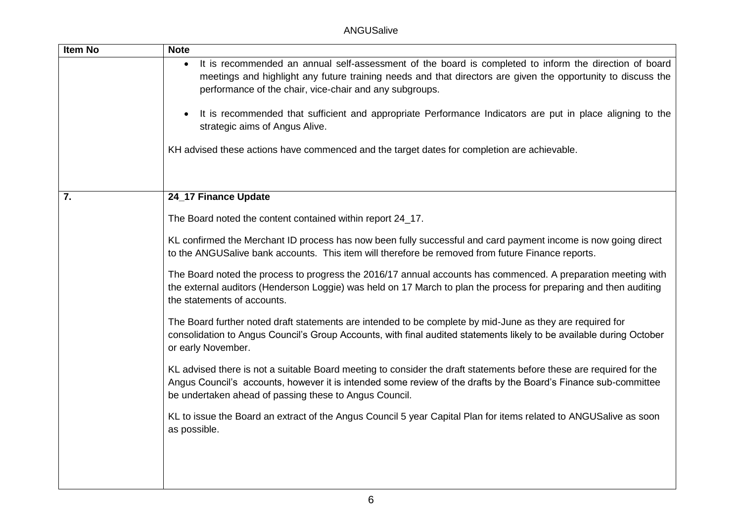| Item No | <b>Note</b>                                                                                                                                                                                                                                                                                      |
|---------|--------------------------------------------------------------------------------------------------------------------------------------------------------------------------------------------------------------------------------------------------------------------------------------------------|
|         | It is recommended an annual self-assessment of the board is completed to inform the direction of board<br>$\bullet$<br>meetings and highlight any future training needs and that directors are given the opportunity to discuss the<br>performance of the chair, vice-chair and any subgroups.   |
|         | It is recommended that sufficient and appropriate Performance Indicators are put in place aligning to the<br>strategic aims of Angus Alive.                                                                                                                                                      |
|         | KH advised these actions have commenced and the target dates for completion are achievable.                                                                                                                                                                                                      |
| 7.      | 24_17 Finance Update                                                                                                                                                                                                                                                                             |
|         | The Board noted the content contained within report 24_17.                                                                                                                                                                                                                                       |
|         | KL confirmed the Merchant ID process has now been fully successful and card payment income is now going direct<br>to the ANGUSalive bank accounts. This item will therefore be removed from future Finance reports.                                                                              |
|         | The Board noted the process to progress the 2016/17 annual accounts has commenced. A preparation meeting with<br>the external auditors (Henderson Loggie) was held on 17 March to plan the process for preparing and then auditing<br>the statements of accounts.                                |
|         | The Board further noted draft statements are intended to be complete by mid-June as they are required for<br>consolidation to Angus Council's Group Accounts, with final audited statements likely to be available during October<br>or early November.                                          |
|         | KL advised there is not a suitable Board meeting to consider the draft statements before these are required for the<br>Angus Council's accounts, however it is intended some review of the drafts by the Board's Finance sub-committee<br>be undertaken ahead of passing these to Angus Council. |
|         | KL to issue the Board an extract of the Angus Council 5 year Capital Plan for items related to ANGUSalive as soon<br>as possible.                                                                                                                                                                |
|         |                                                                                                                                                                                                                                                                                                  |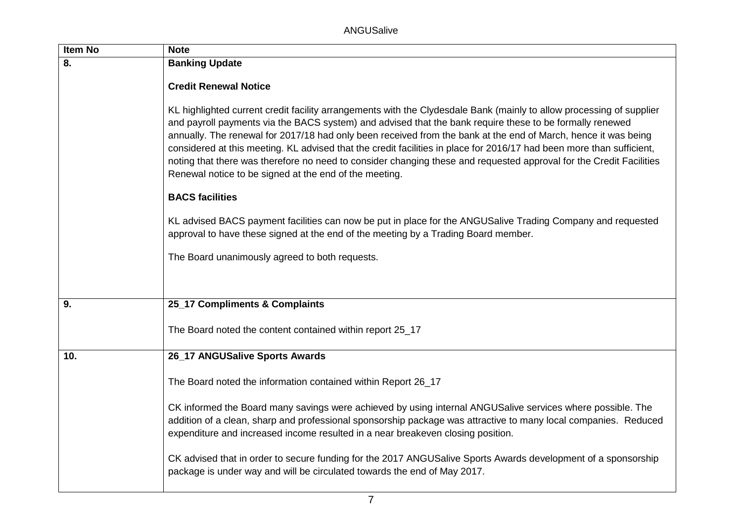ANGUSalive

| Item No | <b>Note</b>                                                                                                                                                                                                                                                                                                                                                                                                                                                                                                                                                                                                                                                  |
|---------|--------------------------------------------------------------------------------------------------------------------------------------------------------------------------------------------------------------------------------------------------------------------------------------------------------------------------------------------------------------------------------------------------------------------------------------------------------------------------------------------------------------------------------------------------------------------------------------------------------------------------------------------------------------|
| 8.      | <b>Banking Update</b>                                                                                                                                                                                                                                                                                                                                                                                                                                                                                                                                                                                                                                        |
|         | <b>Credit Renewal Notice</b>                                                                                                                                                                                                                                                                                                                                                                                                                                                                                                                                                                                                                                 |
|         | KL highlighted current credit facility arrangements with the Clydesdale Bank (mainly to allow processing of supplier<br>and payroll payments via the BACS system) and advised that the bank require these to be formally renewed<br>annually. The renewal for 2017/18 had only been received from the bank at the end of March, hence it was being<br>considered at this meeting. KL advised that the credit facilities in place for 2016/17 had been more than sufficient,<br>noting that there was therefore no need to consider changing these and requested approval for the Credit Facilities<br>Renewal notice to be signed at the end of the meeting. |
|         | <b>BACS facilities</b>                                                                                                                                                                                                                                                                                                                                                                                                                                                                                                                                                                                                                                       |
|         | KL advised BACS payment facilities can now be put in place for the ANGUSalive Trading Company and requested<br>approval to have these signed at the end of the meeting by a Trading Board member.                                                                                                                                                                                                                                                                                                                                                                                                                                                            |
|         | The Board unanimously agreed to both requests.                                                                                                                                                                                                                                                                                                                                                                                                                                                                                                                                                                                                               |
| 9.      | 25_17 Compliments & Complaints                                                                                                                                                                                                                                                                                                                                                                                                                                                                                                                                                                                                                               |
|         | The Board noted the content contained within report 25_17                                                                                                                                                                                                                                                                                                                                                                                                                                                                                                                                                                                                    |
| 10.     | 26_17 ANGUSalive Sports Awards                                                                                                                                                                                                                                                                                                                                                                                                                                                                                                                                                                                                                               |
|         | The Board noted the information contained within Report 26_17                                                                                                                                                                                                                                                                                                                                                                                                                                                                                                                                                                                                |
|         | CK informed the Board many savings were achieved by using internal ANGUSalive services where possible. The<br>addition of a clean, sharp and professional sponsorship package was attractive to many local companies. Reduced<br>expenditure and increased income resulted in a near breakeven closing position.                                                                                                                                                                                                                                                                                                                                             |
|         | CK advised that in order to secure funding for the 2017 ANGUSalive Sports Awards development of a sponsorship<br>package is under way and will be circulated towards the end of May 2017.                                                                                                                                                                                                                                                                                                                                                                                                                                                                    |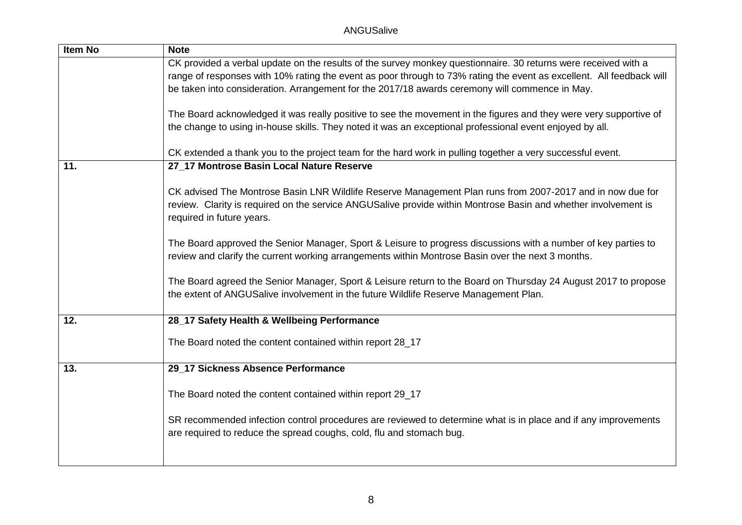| Item No | <b>Note</b>                                                                                                                                                                                                                   |
|---------|-------------------------------------------------------------------------------------------------------------------------------------------------------------------------------------------------------------------------------|
|         | CK provided a verbal update on the results of the survey monkey questionnaire. 30 returns were received with a                                                                                                                |
|         | range of responses with 10% rating the event as poor through to 73% rating the event as excellent. All feedback will                                                                                                          |
|         | be taken into consideration. Arrangement for the 2017/18 awards ceremony will commence in May.                                                                                                                                |
|         | The Board acknowledged it was really positive to see the movement in the figures and they were very supportive of<br>the change to using in-house skills. They noted it was an exceptional professional event enjoyed by all. |
|         |                                                                                                                                                                                                                               |
|         | CK extended a thank you to the project team for the hard work in pulling together a very successful event.                                                                                                                    |
| 11.     | 27_17 Montrose Basin Local Nature Reserve                                                                                                                                                                                     |
|         |                                                                                                                                                                                                                               |
|         | CK advised The Montrose Basin LNR Wildlife Reserve Management Plan runs from 2007-2017 and in now due for                                                                                                                     |
|         | review. Clarity is required on the service ANGUSalive provide within Montrose Basin and whether involvement is<br>required in future years.                                                                                   |
|         |                                                                                                                                                                                                                               |
|         | The Board approved the Senior Manager, Sport & Leisure to progress discussions with a number of key parties to<br>review and clarify the current working arrangements within Montrose Basin over the next 3 months.           |
|         | The Board agreed the Senior Manager, Sport & Leisure return to the Board on Thursday 24 August 2017 to propose                                                                                                                |
|         | the extent of ANGUSalive involvement in the future Wildlife Reserve Management Plan.                                                                                                                                          |
| 12.     | 28_17 Safety Health & Wellbeing Performance                                                                                                                                                                                   |
|         | The Board noted the content contained within report 28_17                                                                                                                                                                     |
|         |                                                                                                                                                                                                                               |
| 13.     | 29_17 Sickness Absence Performance                                                                                                                                                                                            |
|         | The Board noted the content contained within report 29_17                                                                                                                                                                     |
|         | SR recommended infection control procedures are reviewed to determine what is in place and if any improvements                                                                                                                |
|         | are required to reduce the spread coughs, cold, flu and stomach bug.                                                                                                                                                          |
|         |                                                                                                                                                                                                                               |
|         |                                                                                                                                                                                                                               |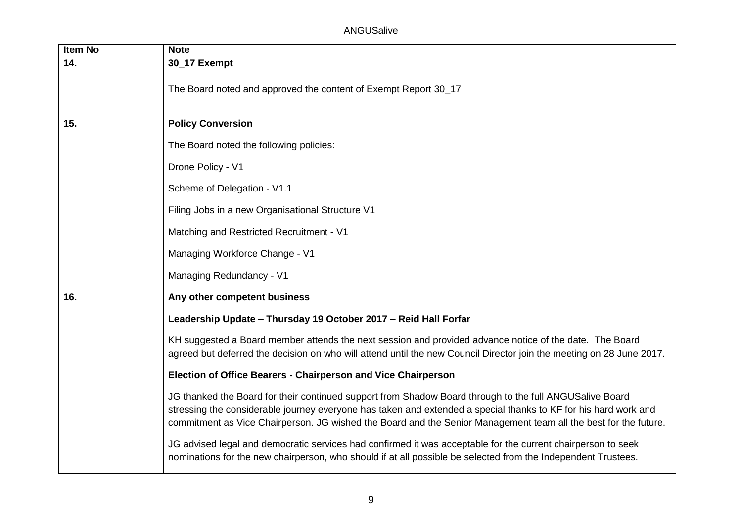| <b>Item No</b>    | <b>Note</b>                                                                                                                                                                                                                                                                                                                                   |
|-------------------|-----------------------------------------------------------------------------------------------------------------------------------------------------------------------------------------------------------------------------------------------------------------------------------------------------------------------------------------------|
| $\overline{14}$ . | 30_17 Exempt                                                                                                                                                                                                                                                                                                                                  |
|                   | The Board noted and approved the content of Exempt Report 30_17                                                                                                                                                                                                                                                                               |
| 15.               | <b>Policy Conversion</b>                                                                                                                                                                                                                                                                                                                      |
|                   | The Board noted the following policies:                                                                                                                                                                                                                                                                                                       |
|                   | Drone Policy - V1                                                                                                                                                                                                                                                                                                                             |
|                   | Scheme of Delegation - V1.1                                                                                                                                                                                                                                                                                                                   |
|                   | Filing Jobs in a new Organisational Structure V1                                                                                                                                                                                                                                                                                              |
|                   | Matching and Restricted Recruitment - V1                                                                                                                                                                                                                                                                                                      |
|                   | Managing Workforce Change - V1                                                                                                                                                                                                                                                                                                                |
|                   | Managing Redundancy - V1                                                                                                                                                                                                                                                                                                                      |
| 16.               | Any other competent business                                                                                                                                                                                                                                                                                                                  |
|                   | Leadership Update - Thursday 19 October 2017 - Reid Hall Forfar                                                                                                                                                                                                                                                                               |
|                   | KH suggested a Board member attends the next session and provided advance notice of the date. The Board<br>agreed but deferred the decision on who will attend until the new Council Director join the meeting on 28 June 2017.                                                                                                               |
|                   | Election of Office Bearers - Chairperson and Vice Chairperson                                                                                                                                                                                                                                                                                 |
|                   | JG thanked the Board for their continued support from Shadow Board through to the full ANGUSalive Board<br>stressing the considerable journey everyone has taken and extended a special thanks to KF for his hard work and<br>commitment as Vice Chairperson. JG wished the Board and the Senior Management team all the best for the future. |
|                   | JG advised legal and democratic services had confirmed it was acceptable for the current chairperson to seek<br>nominations for the new chairperson, who should if at all possible be selected from the Independent Trustees.                                                                                                                 |